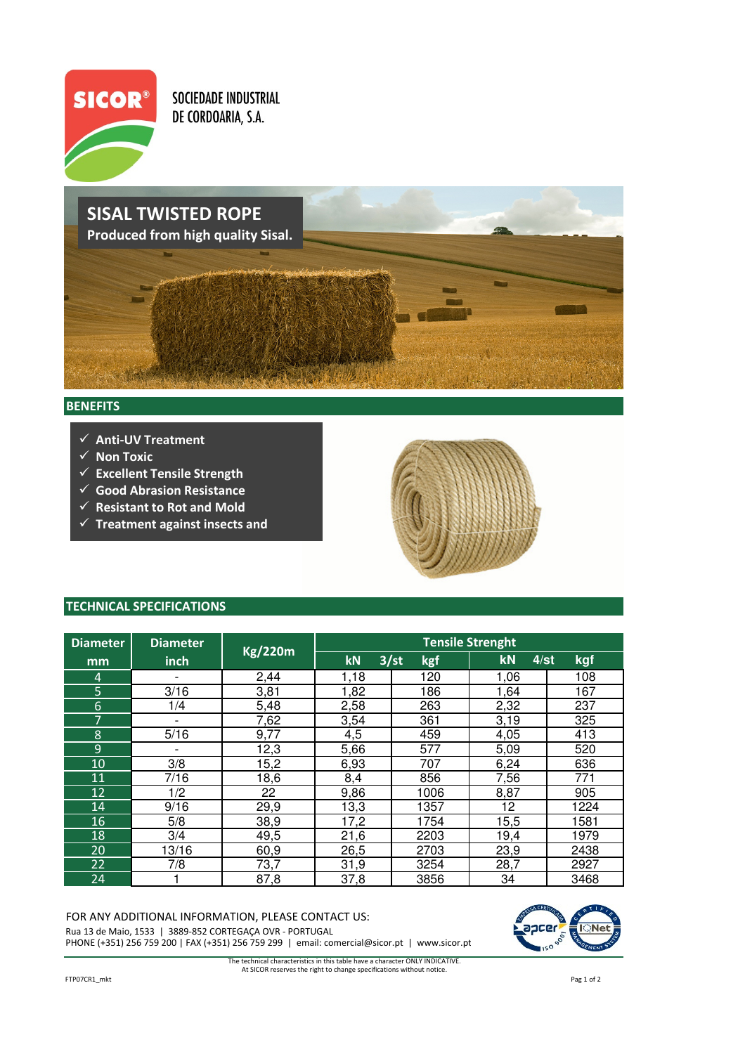

**SOCIEDADE INDUSTRIAL** DE CORDOARIA, S.A.

## SISAL TWISTED ROPE Produced from high quality Sisal.

## **BENEFITS**

- $\checkmark$  Anti-UV Treatment
- $\checkmark$  Non Toxic
- $\checkmark$  Excellent Tensile Strength
- $\checkmark$  Good Abrasion Resistance
- $\checkmark$  Resistant to Rot and Mold
- $\checkmark$  Treatment against insects and



## TECHNICAL SPECIFICATIONS

| <b>Diameter</b> | <b>Diameter</b>          | <b>Kg/220m</b> | <b>Tensile Strenght</b> |             |                      |      |  |  |
|-----------------|--------------------------|----------------|-------------------------|-------------|----------------------|------|--|--|
| mm              | inch                     |                | kN                      | 3/st<br>kgf | <b>kN</b><br>$4$ /st | kgf  |  |  |
| 4               | $\overline{\phantom{0}}$ | 2,44           | 1,18                    | 120         | 1,06                 | 108  |  |  |
| 5               | 3/16                     | 3,81           | 1,82                    | 186         | 1,64                 | 167  |  |  |
| 6               | 1/4                      | 5,48           | 2,58                    | 263         | 2,32                 | 237  |  |  |
| 7               | $\overline{\phantom{0}}$ | 7,62           | 3,54                    | 361         | 3,19                 | 325  |  |  |
| 8               | 5/16                     | 9,77           | 4,5                     | 459         | 4,05                 | 413  |  |  |
| 9               | $\overline{\phantom{0}}$ | 12,3           | 5,66                    | 577         | 5,09                 | 520  |  |  |
| 10              | 3/8                      | 15,2           | 6,93                    | 707         | 6,24                 | 636  |  |  |
| 11              | 7/16                     | 18,6           | 8,4                     | 856         | 7,56                 | 771  |  |  |
| 12              | 1/2                      | 22             | 9,86                    | 1006        | 8,87                 | 905  |  |  |
| 14              | 9/16                     | 29,9           | 13,3                    | 1357        | 12                   | 1224 |  |  |
| 16              | 5/8                      | 38,9           | 17,2                    | 1754        | 15,5                 | 1581 |  |  |
| 18              | 3/4                      | 49,5           | 21,6                    | 2203        | 19,4                 | 1979 |  |  |
| 20              | 13/16                    | 60,9           | 26,5                    | 2703        | 23,9                 | 2438 |  |  |
| 22              | 7/8                      | 73,7           | 31,9                    | 3254        | 28,7                 | 2927 |  |  |
| 24              |                          | 87,8           | 37,8                    | 3856        | 34                   | 3468 |  |  |

## FOR ANY ADDITIONAL INFORMATION, PLEASE CONTACT US:

Rua 13 de Maio, 1533 | 3889-852 CORTEGAÇA OVR - PORTUGAL PHONE (+351) 256 759 200 | FAX (+351) 256 759 299 | email: comercial@sicor.pt | www.sicor.pt



The technical characteristics in this table have a character ONLY INDICATIVE. At SICOR reserves the right to change specifications without notice.